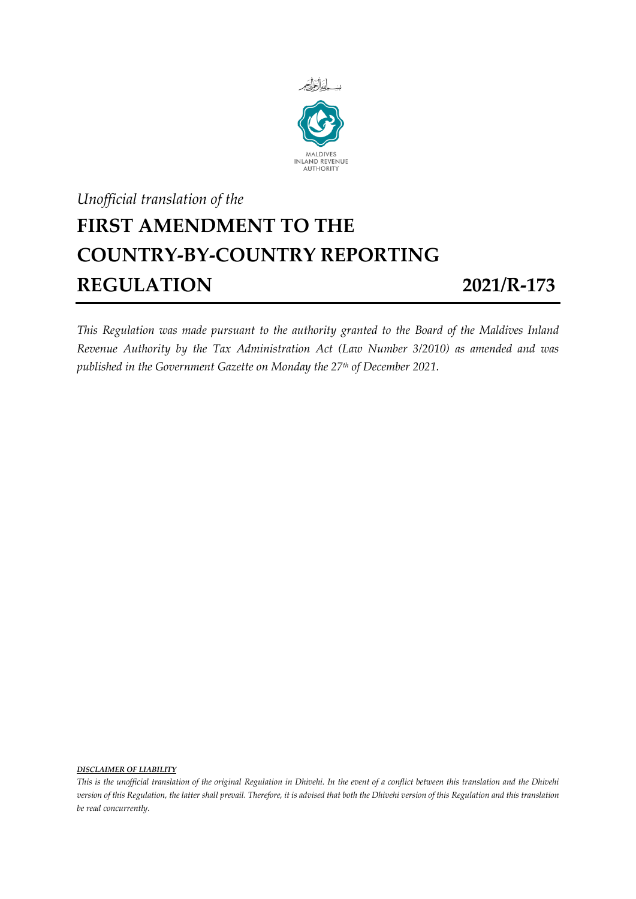

## *Unofficial translation of the* **FIRST AMENDMENT TO THE COUNTRY-BY-COUNTRY REPORTING REGULATION 2021/R-173**

*This Regulation was made pursuant to the authority granted to the Board of the Maldives Inland Revenue Authority by the Tax Administration Act (Law Number 3/2010) as amended and was published in the Government Gazette on Monday the 27th of December 2021.*

*DISCLAIMER OF LIABILITY*

*This is the unofficial translation of the original Regulation in Dhivehi. In the event of a conflict between this translation and the Dhivehi version of this Regulation, the latter shall prevail. Therefore, it is advised that both the Dhivehi version of this Regulation and this translation be read concurrently.*